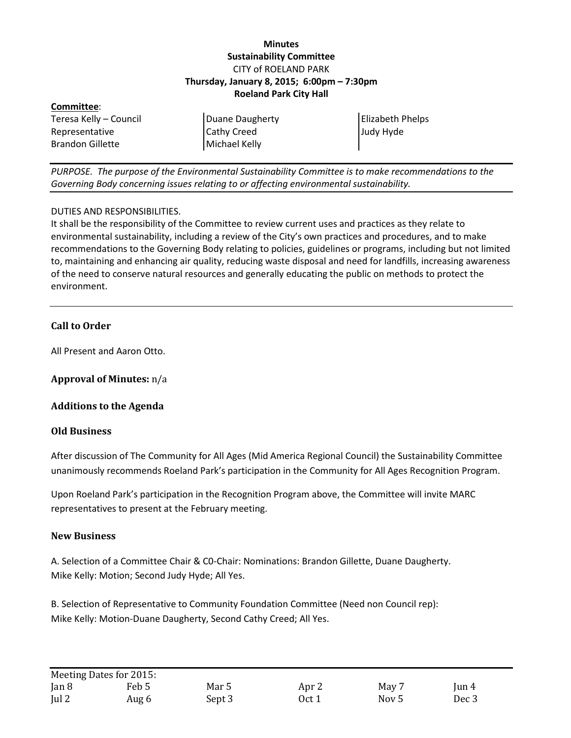## **Minutes Sustainability Committee** CITY of ROELAND PARK **Thursday, January 8, 2015; 6:00pm – 7:30pm Roeland Park City Hall**

| Committee:              |                    |                  |  |  |  |  |
|-------------------------|--------------------|------------------|--|--|--|--|
| Teresa Kelly - Council  | Duane Daugherty    | Elizabeth Phelps |  |  |  |  |
| Representative          | <b>Cathy Creed</b> | Judy Hyde        |  |  |  |  |
| <b>Brandon Gillette</b> | Michael Kelly      |                  |  |  |  |  |

*PURPOSE. The purpose of the Environmental Sustainability Committee is to make recommendations to the Governing Body concerning issues relating to or affecting environmental sustainability.*

### DUTIES AND RESPONSIBILITIES.

It shall be the responsibility of the Committee to review current uses and practices as they relate to environmental sustainability, including a review of the City's own practices and procedures, and to make recommendations to the Governing Body relating to policies, guidelines or programs, including but not limited to, maintaining and enhancing air quality, reducing waste disposal and need for landfills, increasing awareness of the need to conserve natural resources and generally educating the public on methods to protect the environment.

## **Call to Order**

All Present and Aaron Otto.

**Approval of Minutes:** n/a

#### **Additions to the Agenda**

#### **Old Business**

After discussion of The Community for All Ages (Mid America Regional Council) the Sustainability Committee unanimously recommends Roeland Park's participation in the Community for All Ages Recognition Program.

Upon Roeland Park's participation in the Recognition Program above, the Committee will invite MARC representatives to present at the February meeting.

#### **New Business**

A. Selection of a Committee Chair & C0-Chair: Nominations: Brandon Gillette, Duane Daugherty. Mike Kelly: Motion; Second Judy Hyde; All Yes.

B. Selection of Representative to Community Foundation Committee (Need non Council rep): Mike Kelly: Motion-Duane Daugherty, Second Cathy Creed; All Yes.

|               | Meeting Dates for 2015: |        |                  |       |                        |
|---------------|-------------------------|--------|------------------|-------|------------------------|
| Jan 8         | Feb 5                   | Mar 5  | Apr <sub>2</sub> | May 7 | $\operatorname{Jun 4}$ |
| $\lceil$ ul 2 | Aug 6                   | Sept 3 | Oct 1            | Nov 5 | Dec <sub>3</sub>       |